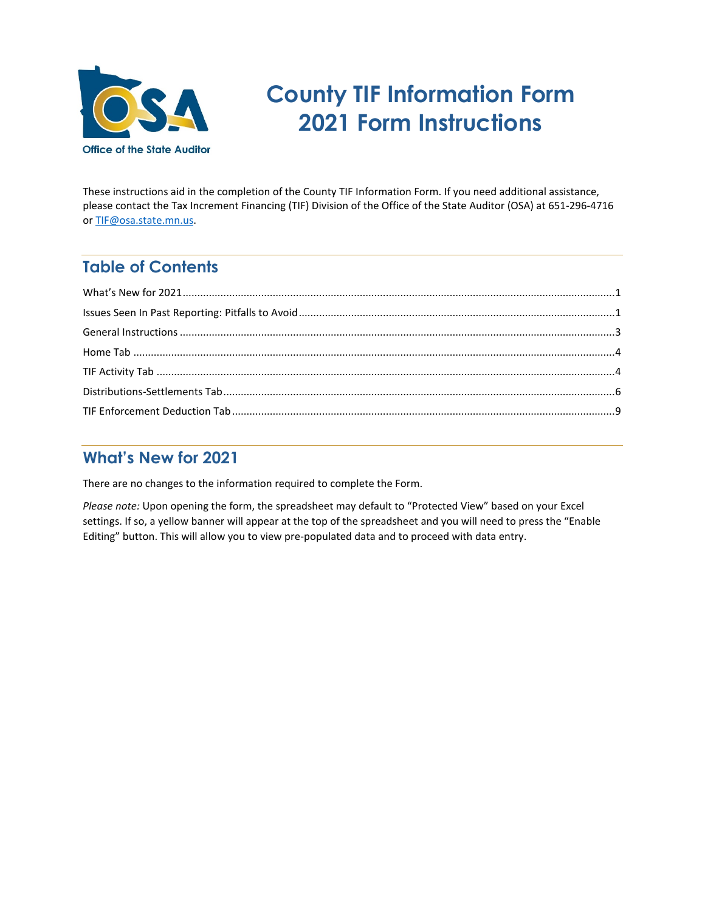

# **County TIF Information Form 2021 Form Instructions**

These instructions aid in the completion of the County TIF Information Form. If you need additional assistance, please contact the Tax Increment Financing (TIF) Division of the Office of the State Auditor (OSA) at 651-296-4716 or [TIF@osa.state.mn.us.](mailto:tif@osa.state.mn.us) 

# **Table of Contents**

# <span id="page-0-0"></span>**What's New for 2021**

<span id="page-0-1"></span>There are no changes to the information required to complete the Form.

*Please note:* Upon opening the form, the spreadsheet may default to "Protected View" based on your Excel settings. If so, a yellow banner will appear at the top of the spreadsheet and you will need to press the "Enable Editing" button. This will allow you to view pre-populated data and to proceed with data entry.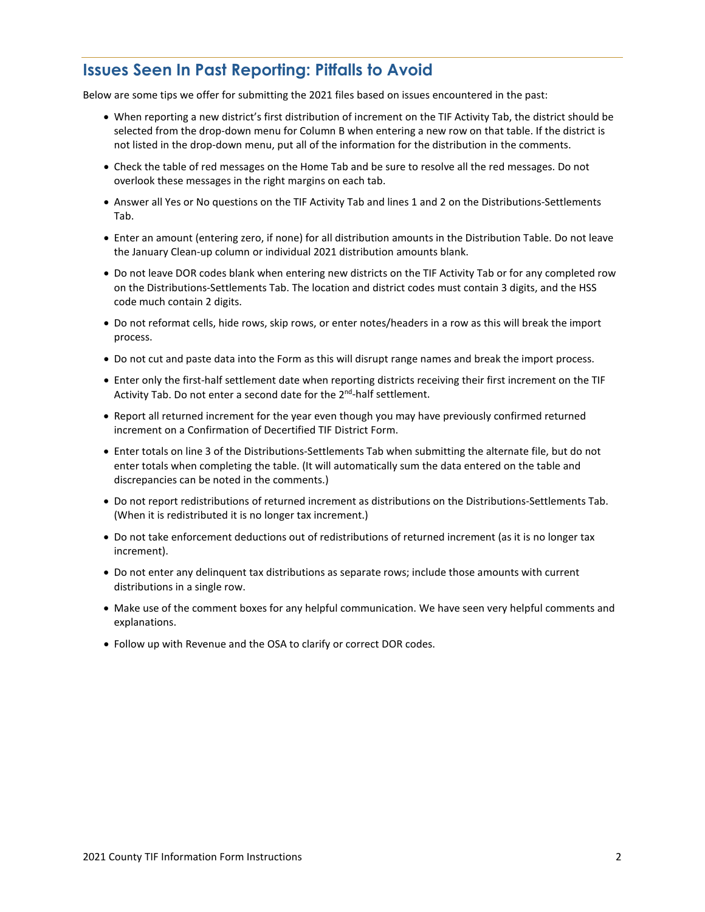## **Issues Seen In Past Reporting: Pitfalls to Avoid**

Below are some tips we offer for submitting the 2021 files based on issues encountered in the past:

- When reporting a new district's first distribution of increment on the TIF Activity Tab, the district should be selected from the drop-down menu for Column B when entering a new row on that table. If the district is not listed in the drop-down menu, put all of the information for the distribution in the comments.
- Check the table of red messages on the Home Tab and be sure to resolve all the red messages. Do not overlook these messages in the right margins on each tab.
- Answer all Yes or No questions on the TIF Activity Tab and lines 1 and 2 on the Distributions-Settlements Tab.
- Enter an amount (entering zero, if none) for all distribution amounts in the Distribution Table. Do not leave the January Clean-up column or individual 2021 distribution amounts blank.
- Do not leave DOR codes blank when entering new districts on the TIF Activity Tab or for any completed row on the Distributions-Settlements Tab. The location and district codes must contain 3 digits, and the HSS code much contain 2 digits.
- Do not reformat cells, hide rows, skip rows, or enter notes/headers in a row as this will break the import process.
- Do not cut and paste data into the Form as this will disrupt range names and break the import process.
- Enter only the first-half settlement date when reporting districts receiving their first increment on the TIF Activity Tab. Do not enter a second date for the 2<sup>nd</sup>-half settlement.
- Report all returned increment for the year even though you may have previously confirmed returned increment on a Confirmation of Decertified TIF District Form.
- Enter totals on line 3 of the Distributions-Settlements Tab when submitting the alternate file, but do not enter totals when completing the table. (It will automatically sum the data entered on the table and discrepancies can be noted in the comments.)
- Do not report redistributions of returned increment as distributions on the Distributions-Settlements Tab. (When it is redistributed it is no longer tax increment.)
- Do not take enforcement deductions out of redistributions of returned increment (as it is no longer tax increment).
- Do not enter any delinquent tax distributions as separate rows; include those amounts with current distributions in a single row.
- Make use of the comment boxes for any helpful communication. We have seen very helpful comments and explanations.
- <span id="page-1-0"></span>• Follow up with Revenue and the OSA to clarify or correct DOR codes.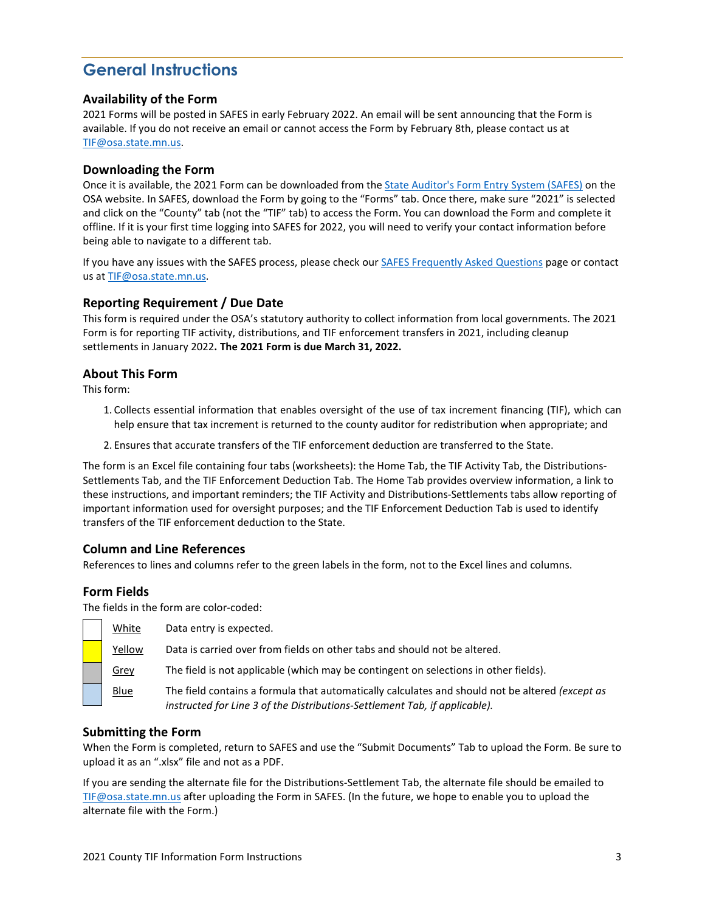# **General Instructions**

#### **Availability of the Form**

2021 Forms will be posted in SAFES in early February 2022. An email will be sent announcing that the Form is available. If you do not receive an email or cannot access the Form by February 8th, please contact us at [TIF@osa.state.mn.us.](mailto:TIF@osa.state.mn.us)

#### **Downloading the Form**

Once it is available, the 2021 Form can be downloaded from the [State Auditor's Form Entry System \(SAFES\)](https://safes.osa.state.mn.us/) on the OSA website. In SAFES, download the Form by going to the "Forms" tab. Once there, make sure "2021" is selected and click on the "County" tab (not the "TIF" tab) to access the Form. You can download the Form and complete it offline. If it is your first time logging into SAFES for 2022, you will need to verify your contact information before being able to navigate to a different tab.

If you have any issues with the SAFES process, please check our **SAFES Frequently Asked Questions** page or contact us at TIF@osa.state.mn.us.

#### **Reporting Requirement / Due Date**

This form is required under the OSA's statutory authority to collect information from local governments. The 2021 Form is for reporting TIF activity, distributions, and TIF enforcement transfers in 2021, including cleanup settlements in January 2022**. The 2021 Form is due March 31, 2022.**

#### **About This Form**

This form:

- 1. Collects essential information that enables oversight of the use of tax increment financing (TIF), which can help ensure that tax increment is returned to the county auditor for redistribution when appropriate; and
- 2. Ensures that accurate transfers of the TIF enforcement deduction are transferred to the State.

The form is an Excel file containing four tabs (worksheets): the Home Tab, the TIF Activity Tab, the Distributions-Settlements Tab, and the TIF Enforcement Deduction Tab. The Home Tab provides overview information, a link to these instructions, and important reminders; the TIF Activity and Distributions-Settlements tabs allow reporting of important information used for oversight purposes; and the TIF Enforcement Deduction Tab is used to identify transfers of the TIF enforcement deduction to the State.

#### **Column and Line References**

References to lines and columns refer to the green labels in the form, not to the Excel lines and columns.

#### **Form Fields**

The fields in the form are color-coded:

| White       | Data entry is expected.                                                                                                                                                       |
|-------------|-------------------------------------------------------------------------------------------------------------------------------------------------------------------------------|
| Yellow      | Data is carried over from fields on other tabs and should not be altered.                                                                                                     |
| Grey        | The field is not applicable (which may be contingent on selections in other fields).                                                                                          |
| <b>Blue</b> | The field contains a formula that automatically calculates and should not be altered (except as<br>instructed for Line 3 of the Distributions-Settlement Tab, if applicable). |

#### **Submitting the Form**

When the Form is completed, return to SAFES and use the "Submit Documents" Tab to upload the Form. Be sure to upload it as an ".xlsx" file and not as a PDF.

If you are sending the alternate file for the Distributions-Settlement Tab, the alternate file should be emailed to [TIF@osa.state.mn.us](mailto:TIF@osa.state.mn.us) after uploading the Form in SAFES. (In the future, we hope to enable you to upload the alternate file with the Form.)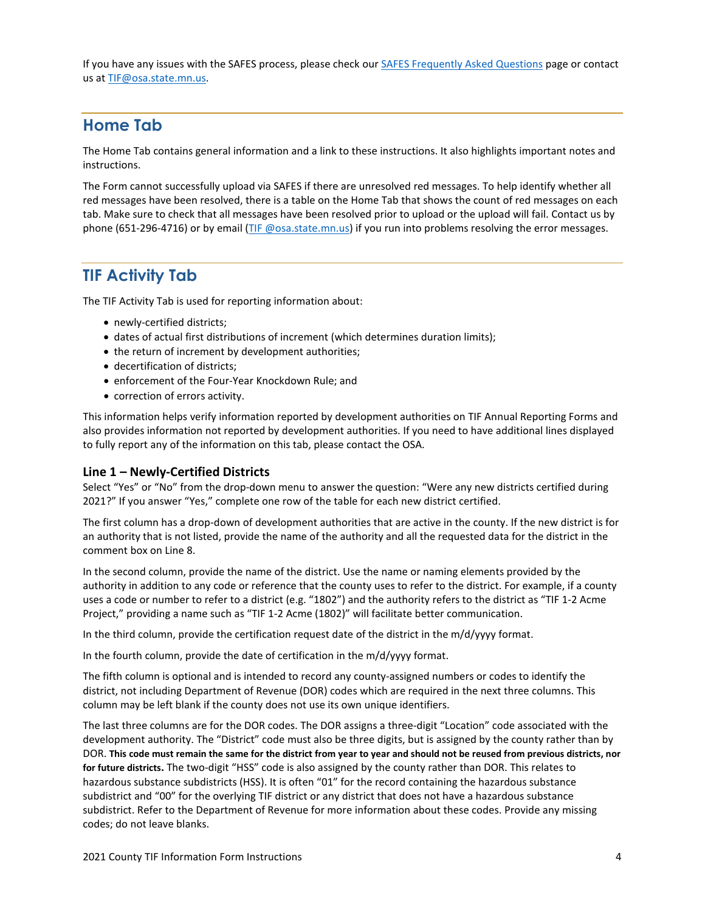If you have any issues with the SAFES process, please check our [SAFES Frequently Asked Questions](https://www.osa.state.mn.us/training-guidance/guidance/frequently-asked-questions/?category=safes) page or contact us at [TIF@osa.state.mn.us.](mailto:TIF@osa.state.mn.us)

### <span id="page-3-0"></span>**Home Tab**

The Home Tab contains general information and a link to these instructions. It also highlights important notes and instructions.

The Form cannot successfully upload via SAFES if there are unresolved red messages. To help identify whether all red messages have been resolved, there is a table on the Home Tab that shows the count of red messages on each tab. Make sure to check that all messages have been resolved prior to upload or the upload will fail. Contact us by phone (651-296-4716) or by email [\(TIF @osa.state.mn.us\)](mailto:TIF@osa.state.mn.us) if you run into problems resolving the error messages.

### <span id="page-3-1"></span>**TIF Activity Tab**

The TIF Activity Tab is used for reporting information about:

- newly-certified districts;
- dates of actual first distributions of increment (which determines duration limits);
- the return of increment by development authorities;
- decertification of districts;
- enforcement of the Four-Year Knockdown Rule; and
- correction of errors activity.

This information helps verify information reported by development authorities on TIF Annual Reporting Forms and also provides information not reported by development authorities. If you need to have additional lines displayed to fully report any of the information on this tab, please contact the OSA.

#### **Line 1 – Newly-Certified Districts**

Select "Yes" or "No" from the drop-down menu to answer the question: "Were any new districts certified during 2021?" If you answer "Yes," complete one row of the table for each new district certified.

The first column has a drop-down of development authorities that are active in the county. If the new district is for an authority that is not listed, provide the name of the authority and all the requested data for the district in the comment box on Line 8.

In the second column, provide the name of the district. Use the name or naming elements provided by the authority in addition to any code or reference that the county uses to refer to the district. For example, if a county uses a code or number to refer to a district (e.g. "1802") and the authority refers to the district as "TIF 1-2 Acme Project," providing a name such as "TIF 1-2 Acme (1802)" will facilitate better communication.

In the third column, provide the certification request date of the district in the m/d/yyyy format.

In the fourth column, provide the date of certification in the m/d/yyyy format.

The fifth column is optional and is intended to record any county-assigned numbers or codes to identify the district, not including Department of Revenue (DOR) codes which are required in the next three columns. This column may be left blank if the county does not use its own unique identifiers.

The last three columns are for the DOR codes. The DOR assigns a three-digit "Location" code associated with the development authority. The "District" code must also be three digits, but is assigned by the county rather than by DOR. **This code must remain the same for the district from year to year and should not be reused from previous districts, nor for future districts.** The two-digit "HSS" code is also assigned by the county rather than DOR. This relates to hazardous substance subdistricts (HSS). It is often "01" for the record containing the hazardous substance subdistrict and "00" for the overlying TIF district or any district that does not have a hazardous substance subdistrict. Refer to the Department of Revenue for more information about these codes. Provide any missing codes; do not leave blanks.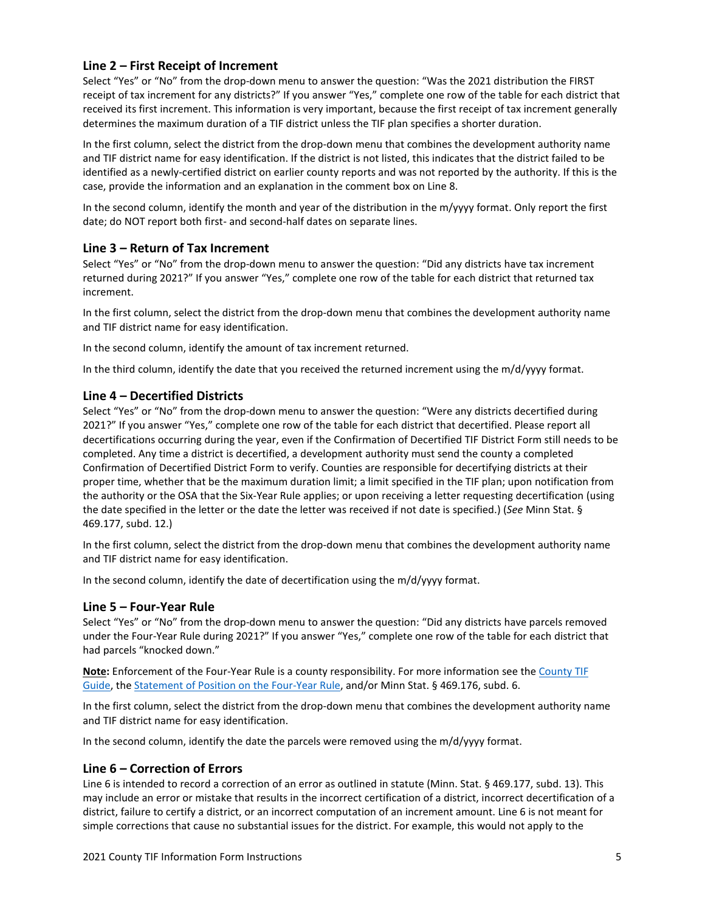#### **Line 2 – First Receipt of Increment**

Select "Yes" or "No" from the drop-down menu to answer the question: "Was the 2021 distribution the FIRST receipt of tax increment for any districts?" If you answer "Yes," complete one row of the table for each district that received its first increment. This information is very important, because the first receipt of tax increment generally determines the maximum duration of a TIF district unless the TIF plan specifies a shorter duration.

In the first column, select the district from the drop-down menu that combines the development authority name and TIF district name for easy identification. If the district is not listed, this indicates that the district failed to be identified as a newly-certified district on earlier county reports and was not reported by the authority. If this is the case, provide the information and an explanation in the comment box on Line 8.

In the second column, identify the month and year of the distribution in the m/yyyy format. Only report the first date; do NOT report both first- and second-half dates on separate lines.

#### **Line 3 – Return of Tax Increment**

Select "Yes" or "No" from the drop-down menu to answer the question: "Did any districts have tax increment returned during 2021?" If you answer "Yes," complete one row of the table for each district that returned tax increment.

In the first column, select the district from the drop-down menu that combines the development authority name and TIF district name for easy identification.

In the second column, identify the amount of tax increment returned.

In the third column, identify the date that you received the returned increment using the m/d/yyyy format.

#### **Line 4 – Decertified Districts**

Select "Yes" or "No" from the drop-down menu to answer the question: "Were any districts decertified during 2021?" If you answer "Yes," complete one row of the table for each district that decertified. Please report all decertifications occurring during the year, even if the Confirmation of Decertified TIF District Form still needs to be completed. Any time a district is decertified, a development authority must send the county a completed Confirmation of Decertified District Form to verify. Counties are responsible for decertifying districts at their proper time, whether that be the maximum duration limit; a limit specified in the TIF plan; upon notification from the authority or the OSA that the Six-Year Rule applies; or upon receiving a letter requesting decertification (using the date specified in the letter or the date the letter was received if not date is specified.) (*See* Minn Stat. § 469.177, subd. 12.)

In the first column, select the district from the drop-down menu that combines the development authority name and TIF district name for easy identification.

In the second column, identify the date of decertification using the m/d/yyyy format.

#### **Line 5 – Four-Year Rule**

Select "Yes" or "No" from the drop-down menu to answer the question: "Did any districts have parcels removed under the Four-Year Rule during 2021?" If you answer "Yes," complete one row of the table for each district that had parcels "knocked down."

**Note:** Enforcement of the Four-Year Rule is a county responsibility. For more information see the [County TIF](https://www.osa.state.mn.us/training-guidance/guidance/tif-county-guides/)  [Guide,](https://www.osa.state.mn.us/training-guidance/guidance/tif-county-guides/) th[e Statement of Position on the Four-Year Rule,](https://www.osa.state.mn.us/media/yxtfn31x/tif_fouryearknockdownrule_1105_statement.pdf) and/or Minn Stat. § 469.176, subd. 6.

In the first column, select the district from the drop-down menu that combines the development authority name and TIF district name for easy identification.

In the second column, identify the date the parcels were removed using the m/d/yyyy format.

#### **Line 6 – Correction of Errors**

Line 6 is intended to record a correction of an error as outlined in statute (Minn. Stat. § 469.177, subd. 13). This may include an error or mistake that results in the incorrect certification of a district, incorrect decertification of a district, failure to certify a district, or an incorrect computation of an increment amount. Line 6 is not meant for simple corrections that cause no substantial issues for the district. For example, this would not apply to the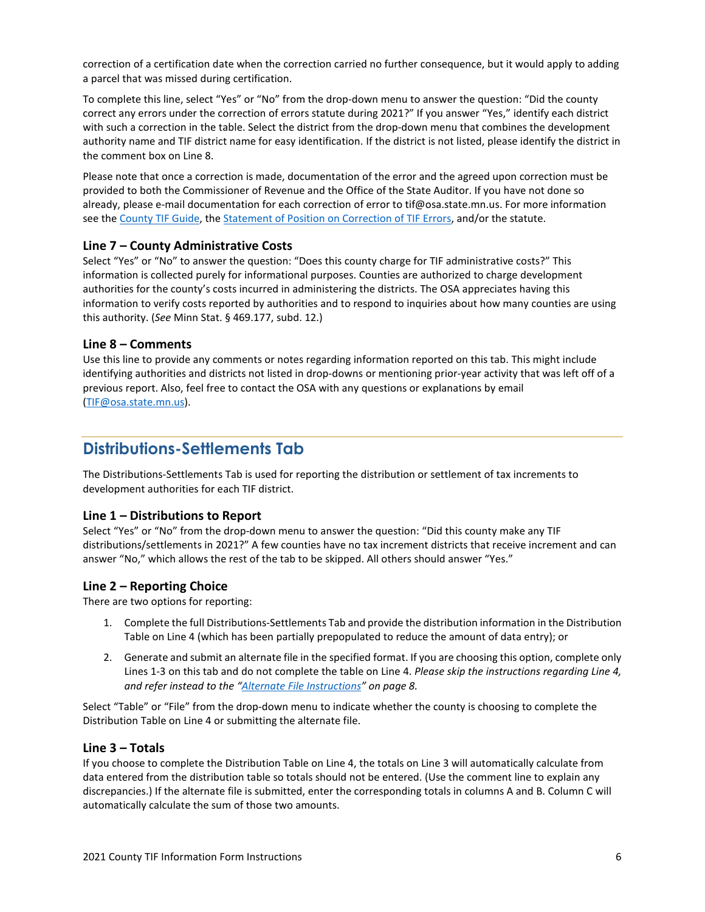correction of a certification date when the correction carried no further consequence, but it would apply to adding a parcel that was missed during certification.

To complete this line, select "Yes" or "No" from the drop-down menu to answer the question: "Did the county correct any errors under the correction of errors statute during 2021?" If you answer "Yes," identify each district with such a correction in the table. Select the district from the drop-down menu that combines the development authority name and TIF district name for easy identification. If the district is not listed, please identify the district in the comment box on Line 8.

Please note that once a correction is made, documentation of the error and the agreed upon correction must be provided to both the Commissioner of Revenue and the Office of the State Auditor. If you have not done so already, please e-mail documentation for each correction of error to tif@osa.state.mn.us. For more information see the [County TIF Guide,](https://www.osa.state.mn.us/training-guidance/guidance/tif-county-guides/) the [Statement of Position on Correction of TIF Errors,](https://www.osa.state.mn.us/media/h04pfn2t/tifrcorrectionoferrors_0902_statement.pdf) and/or the statute.

#### **Line 7 – County Administrative Costs**

Select "Yes" or "No" to answer the question: "Does this county charge for TIF administrative costs?" This information is collected purely for informational purposes. Counties are authorized to charge development authorities for the county's costs incurred in administering the districts. The OSA appreciates having this information to verify costs reported by authorities and to respond to inquiries about how many counties are using this authority. (*See* Minn Stat. § 469.177, subd. 12.)

#### **Line 8 – Comments**

Use this line to provide any comments or notes regarding information reported on this tab. This might include identifying authorities and districts not listed in drop-downs or mentioning prior-year activity that was left off of a previous report. Also, feel free to contact the OSA with any questions or explanations by email [\(TIF@osa.state.mn.us\)](mailto:TIF@osa.state.mn.us).

### <span id="page-5-0"></span>**Distributions-Settlements Tab**

The Distributions-Settlements Tab is used for reporting the distribution or settlement of tax increments to development authorities for each TIF district.

#### **Line 1 – Distributions to Report**

Select "Yes" or "No" from the drop-down menu to answer the question: "Did this county make any TIF distributions/settlements in 2021?" A few counties have no tax increment districts that receive increment and can answer "No," which allows the rest of the tab to be skipped. All others should answer "Yes."

#### **Line 2 – Reporting Choice**

There are two options for reporting:

- 1. Complete the full Distributions-Settlements Tab and provide the distribution information in the Distribution Table on Line 4 (which has been partially prepopulated to reduce the amount of data entry); or
- 2. Generate and submit an alternate file in the specified format. If you are choosing this option, complete only Lines 1-3 on this tab and do not complete the table on Line 4. *Please skip the instructions regarding Line 4, and refer instead to the ["Alternate File Instructions"](#page-7-0) on page 8.*

Select "Table" or "File" from the drop-down menu to indicate whether the county is choosing to complete the Distribution Table on Line 4 or submitting the alternate file.

#### **Line 3 – Totals**

If you choose to complete the Distribution Table on Line 4, the totals on Line 3 will automatically calculate from data entered from the distribution table so totals should not be entered. (Use the comment line to explain any discrepancies.) If the alternate file is submitted, enter the corresponding totals in columns A and B. Column C will automatically calculate the sum of those two amounts.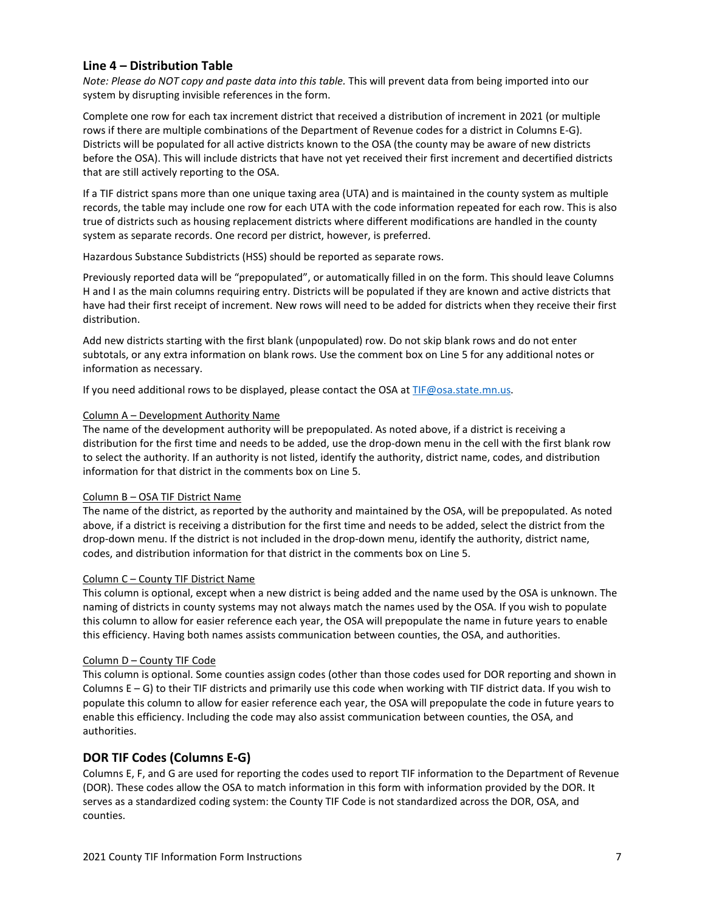#### **Line 4 – Distribution Table**

*Note: Please do NOT copy and paste data into this table.* This will prevent data from being imported into our system by disrupting invisible references in the form.

Complete one row for each tax increment district that received a distribution of increment in 2021 (or multiple rows if there are multiple combinations of the Department of Revenue codes for a district in Columns E-G). Districts will be populated for all active districts known to the OSA (the county may be aware of new districts before the OSA). This will include districts that have not yet received their first increment and decertified districts that are still actively reporting to the OSA.

If a TIF district spans more than one unique taxing area (UTA) and is maintained in the county system as multiple records, the table may include one row for each UTA with the code information repeated for each row. This is also true of districts such as housing replacement districts where different modifications are handled in the county system as separate records. One record per district, however, is preferred.

Hazardous Substance Subdistricts (HSS) should be reported as separate rows.

Previously reported data will be "prepopulated", or automatically filled in on the form. This should leave Columns H and I as the main columns requiring entry. Districts will be populated if they are known and active districts that have had their first receipt of increment. New rows will need to be added for districts when they receive their first distribution.

Add new districts starting with the first blank (unpopulated) row. Do not skip blank rows and do not enter subtotals, or any extra information on blank rows. Use the comment box on Line 5 for any additional notes or information as necessary.

If you need additional rows to be displayed, please contact the OSA at TIF@osa.state.mn.us.

#### Column A – Development Authority Name

The name of the development authority will be prepopulated. As noted above, if a district is receiving a distribution for the first time and needs to be added, use the drop-down menu in the cell with the first blank row to select the authority. If an authority is not listed, identify the authority, district name, codes, and distribution information for that district in the comments box on Line 5.

#### Column B – OSA TIF District Name

The name of the district, as reported by the authority and maintained by the OSA, will be prepopulated. As noted above, if a district is receiving a distribution for the first time and needs to be added, select the district from the drop-down menu. If the district is not included in the drop-down menu, identify the authority, district name, codes, and distribution information for that district in the comments box on Line 5.

#### Column C – County TIF District Name

This column is optional, except when a new district is being added and the name used by the OSA is unknown. The naming of districts in county systems may not always match the names used by the OSA. If you wish to populate this column to allow for easier reference each year, the OSA will prepopulate the name in future years to enable this efficiency. Having both names assists communication between counties, the OSA, and authorities.

#### Column D – County TIF Code

This column is optional. Some counties assign codes (other than those codes used for DOR reporting and shown in Columns  $E - G$ ) to their TIF districts and primarily use this code when working with TIF district data. If you wish to populate this column to allow for easier reference each year, the OSA will prepopulate the code in future years to enable this efficiency. Including the code may also assist communication between counties, the OSA, and authorities.

#### **DOR TIF Codes (Columns E-G)**

Columns E, F, and G are used for reporting the codes used to report TIF information to the Department of Revenue (DOR). These codes allow the OSA to match information in this form with information provided by the DOR. It serves as a standardized coding system: the County TIF Code is not standardized across the DOR, OSA, and counties.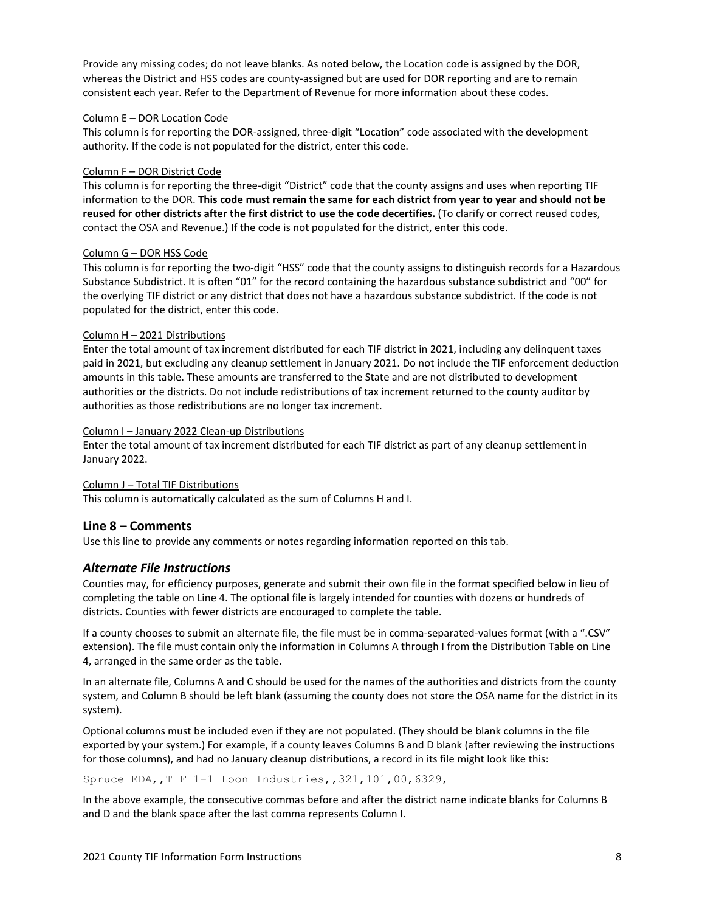Provide any missing codes; do not leave blanks. As noted below, the Location code is assigned by the DOR, whereas the District and HSS codes are county-assigned but are used for DOR reporting and are to remain consistent each year. Refer to the Department of Revenue for more information about these codes.

#### Column E – DOR Location Code

This column is for reporting the DOR-assigned, three-digit "Location" code associated with the development authority. If the code is not populated for the district, enter this code.

#### Column F – DOR District Code

This column is for reporting the three-digit "District" code that the county assigns and uses when reporting TIF information to the DOR. **This code must remain the same for each district from year to year and should not be reused for other districts after the first district to use the code decertifies.** (To clarify or correct reused codes, contact the OSA and Revenue.) If the code is not populated for the district, enter this code.

#### Column G – DOR HSS Code

This column is for reporting the two-digit "HSS" code that the county assigns to distinguish records for a Hazardous Substance Subdistrict. It is often "01" for the record containing the hazardous substance subdistrict and "00" for the overlying TIF district or any district that does not have a hazardous substance subdistrict. If the code is not populated for the district, enter this code.

#### Column H – 2021 Distributions

Enter the total amount of tax increment distributed for each TIF district in 2021, including any delinquent taxes paid in 2021, but excluding any cleanup settlement in January 2021. Do not include the TIF enforcement deduction amounts in this table. These amounts are transferred to the State and are not distributed to development authorities or the districts. Do not include redistributions of tax increment returned to the county auditor by authorities as those redistributions are no longer tax increment.

#### Column I – January 2022 Clean-up Distributions

Enter the total amount of tax increment distributed for each TIF district as part of any cleanup settlement in January 2022.

#### Column J – Total TIF Distributions

This column is automatically calculated as the sum of Columns H and I.

#### **Line 8 – Comments**

Use this line to provide any comments or notes regarding information reported on this tab.

#### <span id="page-7-0"></span>*Alternate File Instructions*

Counties may, for efficiency purposes, generate and submit their own file in the format specified below in lieu of completing the table on Line 4. The optional file is largely intended for counties with dozens or hundreds of districts. Counties with fewer districts are encouraged to complete the table.

If a county chooses to submit an alternate file, the file must be in comma-separated-values format (with a ".CSV" extension). The file must contain only the information in Columns A through I from the Distribution Table on Line 4, arranged in the same order as the table.

In an alternate file, Columns A and C should be used for the names of the authorities and districts from the county system, and Column B should be left blank (assuming the county does not store the OSA name for the district in its system).

Optional columns must be included even if they are not populated. (They should be blank columns in the file exported by your system.) For example, if a county leaves Columns B and D blank (after reviewing the instructions for those columns), and had no January cleanup distributions, a record in its file might look like this:

Spruce EDA,,TIF 1-1 Loon Industries,,321,101,00,6329,

In the above example, the consecutive commas before and after the district name indicate blanks for Columns B and D and the blank space after the last comma represents Column I.